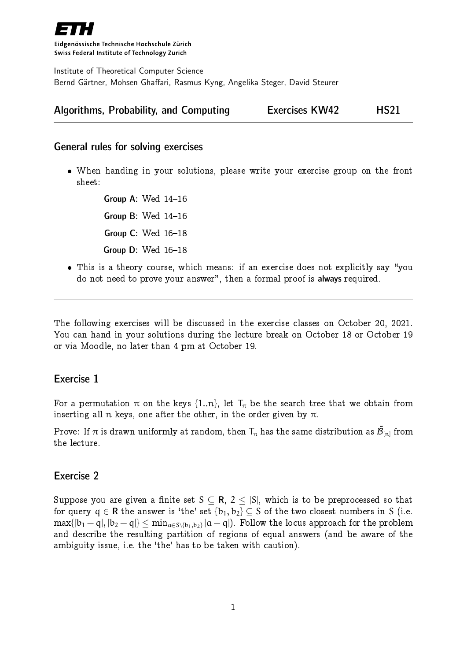

Eidgenössische Technische Hochschule Zürich Swiss Federal Institute of Technology Zurich

Institute of Theoretical Computer Science Bernd Gärtner, Mohsen Ghaffari, Rasmus Kyng, Angelika Steger, David Steurer

| Algorithms, Probability, and Computing | <b>Exercises KW42</b> | <b>HS21</b> |
|----------------------------------------|-----------------------|-------------|
|----------------------------------------|-----------------------|-------------|

#### General rules for solving exercises

 When handing in your solutions, please write your exercise group on the front sheet:

> Group A: Wed  $14-16$ Group B: Wed  $14-16$ Group  $C:$  Wed  $16-18$ Group  $D$ : Wed  $16-18$

• This is a theory course, which means: if an exercise does not explicitly say "you do not need to prove your answer", then a formal proof is always required.

The following exercises will be discussed in the exercise classes on October 20, 2021. You can hand in your solutions during the lecture break on October 18 or October 19 or via Moodle, no later than 4 pm at October 19.

## Exercise 1

For a permutation  $\pi$  on the keys {1..n}, let  $T_{\pi}$  be the search tree that we obtain from inserting all n keys, one after the other, in the order given by  $\pi$ .

Prove: If  $\pi$  is drawn uniformly at random, then  $T_{\pi}$  has the same distribution as  $\tilde{\mathcal{B}}_{[n]}$  from the lecture.

### Exercise 2

Suppose you are given a finite set  $S \subseteq \mathsf{R}$ ,  $2 \leq |S|$ , which is to be preprocessed so that for query  $q \in \mathbb{R}$  the answer is 'the' set  $\{b_1, b_2\} \subseteq S$  of the two closest numbers in S (i.e.  $\max\{|b_1-q|,|b_2-q|\}\leq \min_{a\in S\setminus\{b_1,b_2\}}|a-q|).$  Follow the locus approach for the problem and describe the resulting partition of regions of equal answers (and be aware of the ambiguity issue, i.e. the 'the' has to be taken with caution).